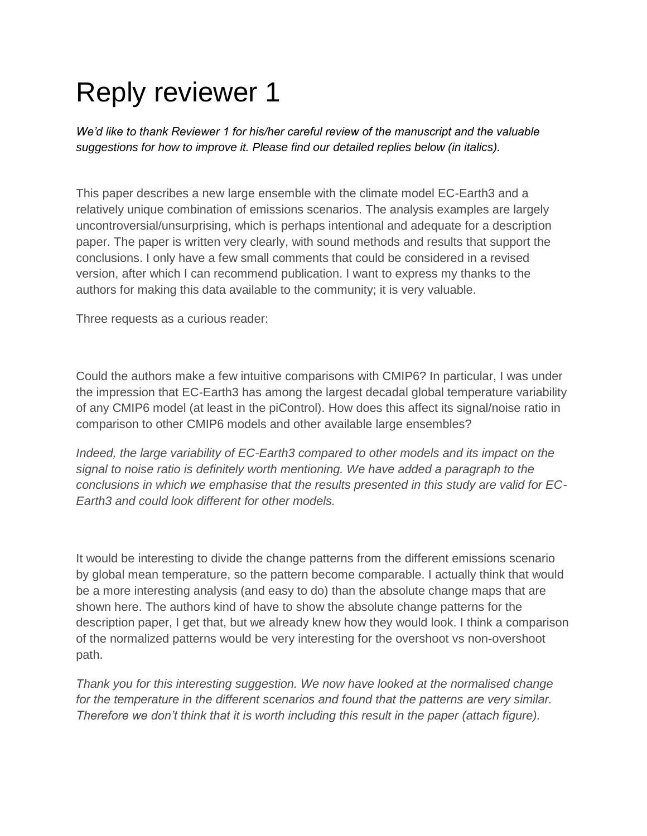## Reply reviewer 1

*We'd like to thank Reviewer 1 for his/her careful review of the manuscript and the valuable suggestions for how to improve it. Please find our detailed replies below (in italics).*

This paper describes a new large ensemble with the climate model EC-Earth3 and a relatively unique combination of emissions scenarios. The analysis examples are largely uncontroversial/unsurprising, which is perhaps intentional and adequate for a description paper. The paper is written very clearly, with sound methods and results that support the conclusions. I only have a few small comments that could be considered in a revised version, after which I can recommend publication. I want to express my thanks to the authors for making this data available to the community; it is very valuable.

Three requests as a curious reader:

Could the authors make a few intuitive comparisons with CMIP6? In particular, I was under the impression that EC-Earth3 has among the largest decadal global temperature variability of any CMIP6 model (at least in the piControl). How does this affect its signal/noise ratio in comparison to other CMIP6 models and other available large ensembles?

*Indeed, the large variability of EC-Earth3 compared to other models and its impact on the signal to noise ratio is definitely worth mentioning. We have added a paragraph to the conclusions in which we emphasise that the results presented in this study are valid for EC-Earth3 and could look different for other models.*

It would be interesting to divide the change patterns from the different emissions scenario by global mean temperature, so the pattern become comparable. I actually think that would be a more interesting analysis (and easy to do) than the absolute change maps that are shown here. The authors kind of have to show the absolute change patterns for the description paper, I get that, but we already knew how they would look. I think a comparison of the normalized patterns would be very interesting for the overshoot vs non-overshoot path.

*Thank you for this interesting suggestion. We now have looked at the normalised change for the temperature in the different scenarios and found that the patterns are very similar. Therefore we don't think that it is worth including this result in the paper (attach figure).*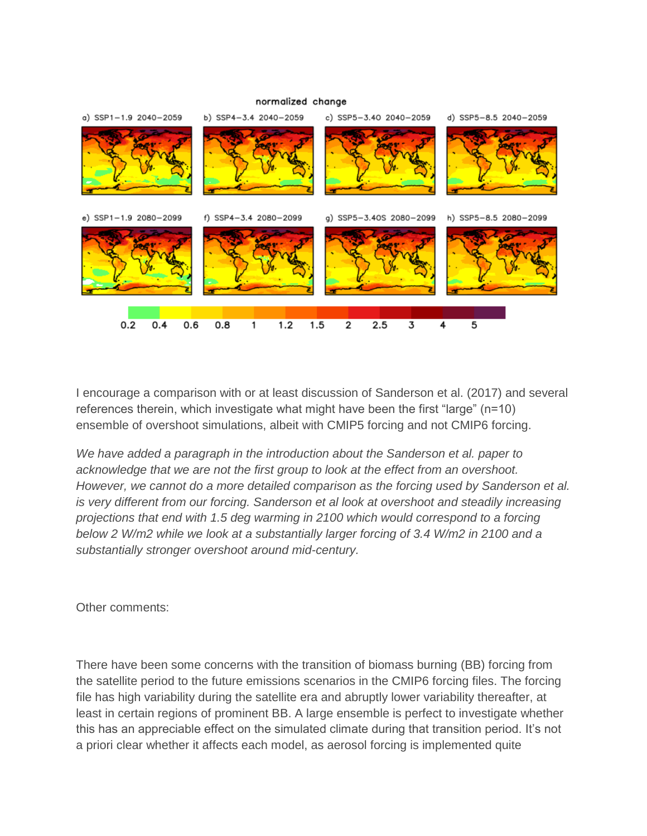

I encourage a comparison with or at least discussion of Sanderson et al. (2017) and several references therein, which investigate what might have been the first "large" (n=10) ensemble of overshoot simulations, albeit with CMIP5 forcing and not CMIP6 forcing.

*We have added a paragraph in the introduction about the Sanderson et al. paper to acknowledge that we are not the first group to look at the effect from an overshoot. However, we cannot do a more detailed comparison as the forcing used by Sanderson et al. is very different from our forcing. Sanderson et al look at overshoot and steadily increasing projections that end with 1.5 deg warming in 2100 which would correspond to a forcing below 2 W/m2 while we look at a substantially larger forcing of 3.4 W/m2 in 2100 and a substantially stronger overshoot around mid-century.* 

Other comments:

There have been some concerns with the transition of biomass burning (BB) forcing from the satellite period to the future emissions scenarios in the CMIP6 forcing files. The forcing file has high variability during the satellite era and abruptly lower variability thereafter, at least in certain regions of prominent BB. A large ensemble is perfect to investigate whether this has an appreciable effect on the simulated climate during that transition period. It's not a priori clear whether it affects each model, as aerosol forcing is implemented quite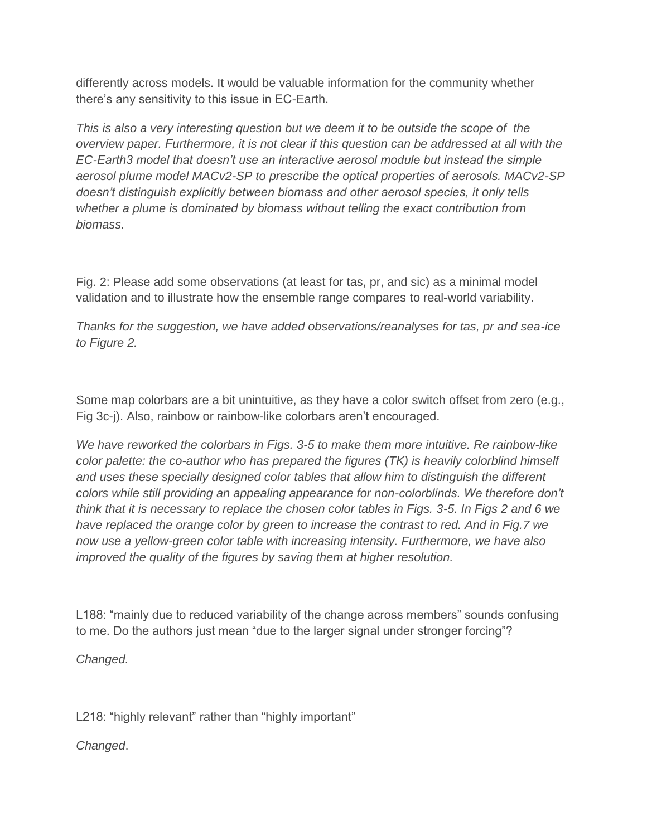differently across models. It would be valuable information for the community whether there's any sensitivity to this issue in EC-Earth.

*This is also a very interesting question but we deem it to be outside the scope of the overview paper. Furthermore, it is not clear if this question can be addressed at all with the EC-Earth3 model that doesn't use an interactive aerosol module but instead the simple aerosol plume model MACv2-SP to prescribe the optical properties of aerosols. MACv2-SP doesn't distinguish explicitly between biomass and other aerosol species, it only tells whether a plume is dominated by biomass without telling the exact contribution from biomass.*

Fig. 2: Please add some observations (at least for tas, pr, and sic) as a minimal model validation and to illustrate how the ensemble range compares to real-world variability.

*Thanks for the suggestion, we have added observations/reanalyses for tas, pr and sea-ice to Figure 2.*

Some map colorbars are a bit unintuitive, as they have a color switch offset from zero (e.g., Fig 3c-j). Also, rainbow or rainbow-like colorbars aren't encouraged.

*We have reworked the colorbars in Figs. 3-5 to make them more intuitive. Re rainbow-like color palette: the co-author who has prepared the figures (TK) is heavily colorblind himself and uses these specially designed color tables that allow him to distinguish the different colors while still providing an appealing appearance for non-colorblinds. We therefore don't think that it is necessary to replace the chosen color tables in Figs. 3-5. In Figs 2 and 6 we have replaced the orange color by green to increase the contrast to red. And in Fig.7 we now use a yellow-green color table with increasing intensity. Furthermore, we have also improved the quality of the figures by saving them at higher resolution.* 

L188: "mainly due to reduced variability of the change across members" sounds confusing to me. Do the authors just mean "due to the larger signal under stronger forcing"?

*Changed.* 

L218: "highly relevant" rather than "highly important"

*Changed*.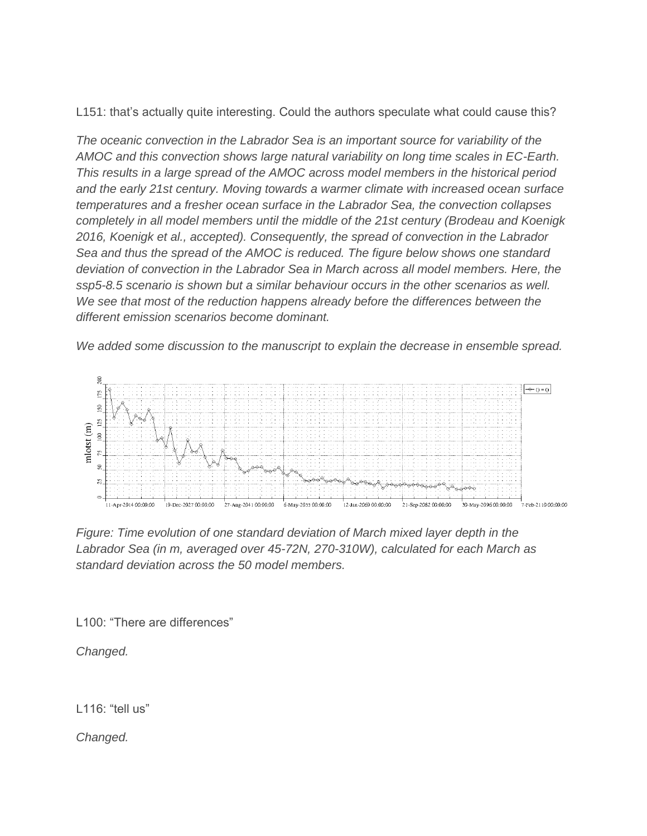L151: that's actually quite interesting. Could the authors speculate what could cause this?

*The oceanic convection in the Labrador Sea is an important source for variability of the AMOC and this convection shows large natural variability on long time scales in EC-Earth. This results in a large spread of the AMOC across model members in the historical period and the early 21st century. Moving towards a warmer climate with increased ocean surface temperatures and a fresher ocean surface in the Labrador Sea, the convection collapses completely in all model members until the middle of the 21st century (Brodeau and Koenigk 2016, Koenigk et al., accepted). Consequently, the spread of convection in the Labrador Sea and thus the spread of the AMOC is reduced. The figure below shows one standard deviation of convection in the Labrador Sea in March across all model members. Here, the ssp5-8.5 scenario is shown but a similar behaviour occurs in the other scenarios as well. We see that most of the reduction happens already before the differences between the different emission scenarios become dominant.*

*We added some discussion to the manuscript to explain the decrease in ensemble spread.*



*Figure: Time evolution of one standard deviation of March mixed layer depth in the Labrador Sea (in m, averaged over 45-72N, 270-310W), calculated for each March as standard deviation across the 50 model members.* 

L<sub>100</sub>: "There are differences"

*Changed.*

L116: "tell us"

*Changed.*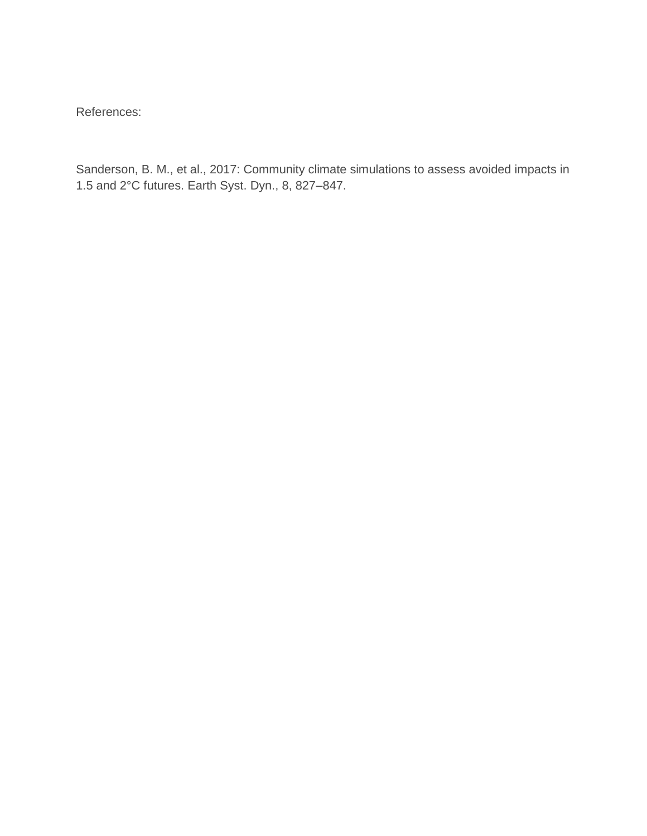References:

Sanderson, B. M., et al., 2017: Community climate simulations to assess avoided impacts in 1.5 and 2°C futures. Earth Syst. Dyn., 8, 827–847.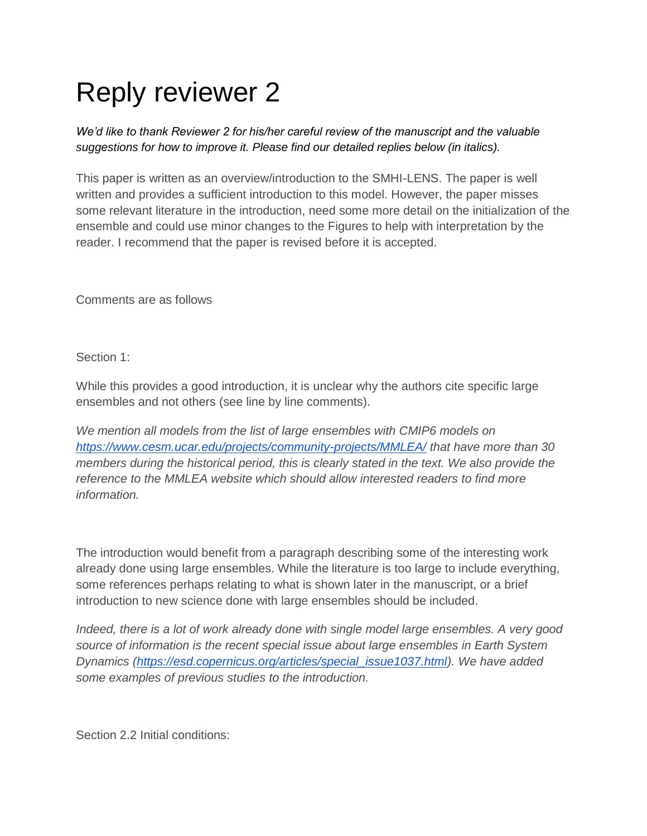## Reply reviewer 2

*We'd like to thank Reviewer 2 for his/her careful review of the manuscript and the valuable suggestions for how to improve it. Please find our detailed replies below (in italics).*

This paper is written as an overview/introduction to the SMHI-LENS. The paper is well written and provides a sufficient introduction to this model. However, the paper misses some relevant literature in the introduction, need some more detail on the initialization of the ensemble and could use minor changes to the Figures to help with interpretation by the reader. I recommend that the paper is revised before it is accepted.

Comments are as follows

Section 1:

While this provides a good introduction, it is unclear why the authors cite specific large ensembles and not others (see line by line comments).

*We mention all models from the list of large ensembles with CMIP6 models on <https://www.cesm.ucar.edu/projects/community-projects/MMLEA/> that have more than 30 members during the historical period, this is clearly stated in the text. We also provide the reference to the MMLEA website which should allow interested readers to find more information.*

The introduction would benefit from a paragraph describing some of the interesting work already done using large ensembles. While the literature is too large to include everything, some references perhaps relating to what is shown later in the manuscript, or a brief introduction to new science done with large ensembles should be included.

*Indeed, there is a lot of work already done with single model large ensembles. A very good source of information is the recent special issue about large ensembles in Earth System Dynamics [\(https://esd.copernicus.org/articles/special\\_issue1037.html\)](https://esd.copernicus.org/articles/special_issue1037.html). We have added some examples of previous studies to the introduction.*

Section 2.2 Initial conditions: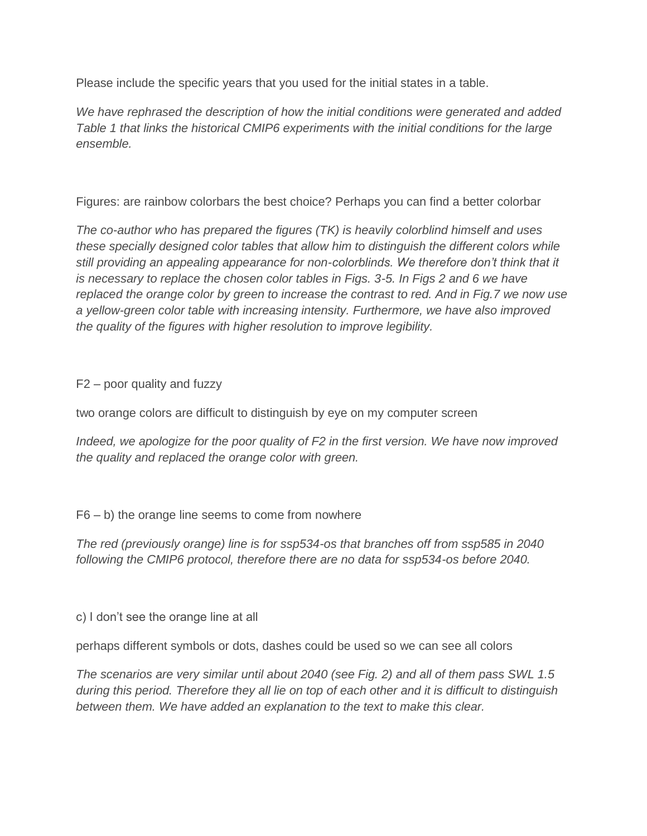Please include the specific years that you used for the initial states in a table.

*We have rephrased the description of how the initial conditions were generated and added Table 1 that links the historical CMIP6 experiments with the initial conditions for the large ensemble.*

Figures: are rainbow colorbars the best choice? Perhaps you can find a better colorbar

*The co-author who has prepared the figures (TK) is heavily colorblind himself and uses these specially designed color tables that allow him to distinguish the different colors while still providing an appealing appearance for non-colorblinds. We therefore don't think that it is necessary to replace the chosen color tables in Figs. 3-5. In Figs 2 and 6 we have replaced the orange color by green to increase the contrast to red. And in Fig.7 we now use a yellow-green color table with increasing intensity. Furthermore, we have also improved the quality of the figures with higher resolution to improve legibility.*

F2 – poor quality and fuzzy

two orange colors are difficult to distinguish by eye on my computer screen

*Indeed, we apologize for the poor quality of F2 in the first version. We have now improved the quality and replaced the orange color with green.*

 $F6 - b$ ) the orange line seems to come from nowhere

*The red (previously orange) line is for ssp534-os that branches off from ssp585 in 2040 following the CMIP6 protocol, therefore there are no data for ssp534-os before 2040.*

c) I don't see the orange line at all

perhaps different symbols or dots, dashes could be used so we can see all colors

*The scenarios are very similar until about 2040 (see Fig. 2) and all of them pass SWL 1.5 during this period. Therefore they all lie on top of each other and it is difficult to distinguish between them. We have added an explanation to the text to make this clear.*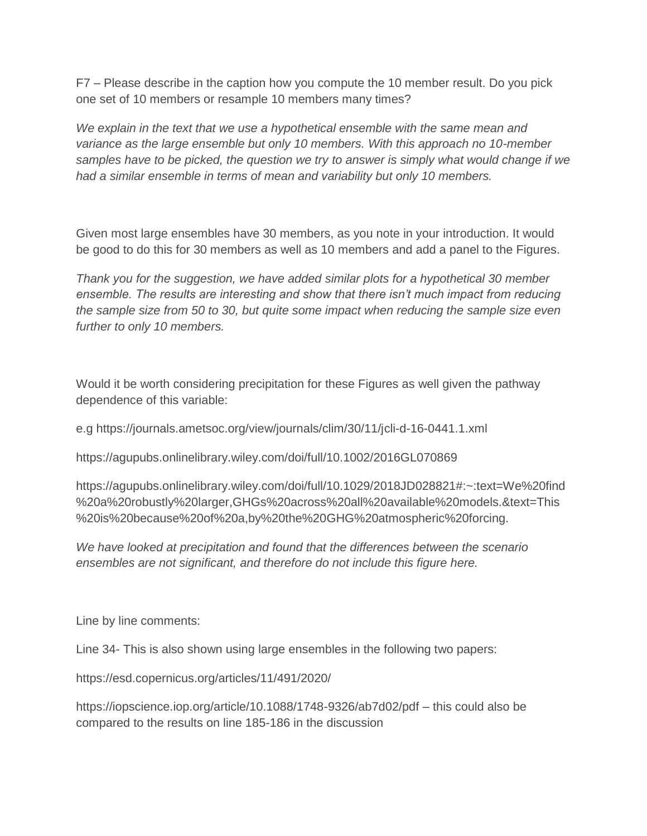F7 – Please describe in the caption how you compute the 10 member result. Do you pick one set of 10 members or resample 10 members many times?

*We explain in the text that we use a hypothetical ensemble with the same mean and variance as the large ensemble but only 10 members. With this approach no 10-member samples have to be picked, the question we try to answer is simply what would change if we had a similar ensemble in terms of mean and variability but only 10 members.*

Given most large ensembles have 30 members, as you note in your introduction. It would be good to do this for 30 members as well as 10 members and add a panel to the Figures.

*Thank you for the suggestion, we have added similar plots for a hypothetical 30 member ensemble. The results are interesting and show that there isn't much impact from reducing the sample size from 50 to 30, but quite some impact when reducing the sample size even further to only 10 members.*

Would it be worth considering precipitation for these Figures as well given the pathway dependence of this variable:

e.g https://journals.ametsoc.org/view/journals/clim/30/11/jcli-d-16-0441.1.xml

https://agupubs.onlinelibrary.wiley.com/doi/full/10.1002/2016GL070869

https://agupubs.onlinelibrary.wiley.com/doi/full/10.1029/2018JD028821#:~:text=We%20find %20a%20robustly%20larger,GHGs%20across%20all%20available%20models.&text=This %20is%20because%20of%20a,by%20the%20GHG%20atmospheric%20forcing.

*We have looked at precipitation and found that the differences between the scenario ensembles are not significant, and therefore do not include this figure here.*

Line by line comments:

Line 34- This is also shown using large ensembles in the following two papers:

https://esd.copernicus.org/articles/11/491/2020/

https://iopscience.iop.org/article/10.1088/1748-9326/ab7d02/pdf – this could also be compared to the results on line 185-186 in the discussion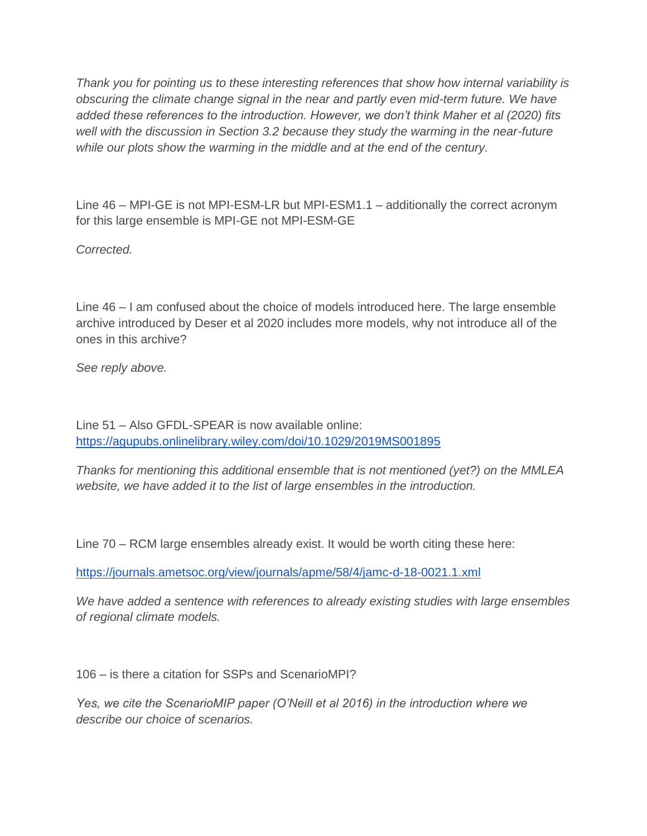*Thank you for pointing us to these interesting references that show how internal variability is obscuring the climate change signal in the near and partly even mid-term future. We have added these references to the introduction. However, we don't think Maher et al (2020) fits well with the discussion in Section 3.2 because they study the warming in the near-future while our plots show the warming in the middle and at the end of the century.* 

Line 46 – MPI-GE is not MPI-ESM-LR but MPI-ESM1.1 – additionally the correct acronym for this large ensemble is MPI-GE not MPI-ESM-GE

*Corrected.*

Line 46 – I am confused about the choice of models introduced here. The large ensemble archive introduced by Deser et al 2020 includes more models, why not introduce all of the ones in this archive?

*See reply above.*

Line 51 – Also GFDL-SPEAR is now available online: <https://agupubs.onlinelibrary.wiley.com/doi/10.1029/2019MS001895>

*Thanks for mentioning this additional ensemble that is not mentioned (yet?) on the MMLEA website, we have added it to the list of large ensembles in the introduction.* 

Line 70 – RCM large ensembles already exist. It would be worth citing these here:

<https://journals.ametsoc.org/view/journals/apme/58/4/jamc-d-18-0021.1.xml>

*We have added a sentence with references to already existing studies with large ensembles of regional climate models.*

106 – is there a citation for SSPs and ScenarioMPI?

*Yes, we cite the ScenarioMIP paper (O'Neill et al 2016) in the introduction where we describe our choice of scenarios.*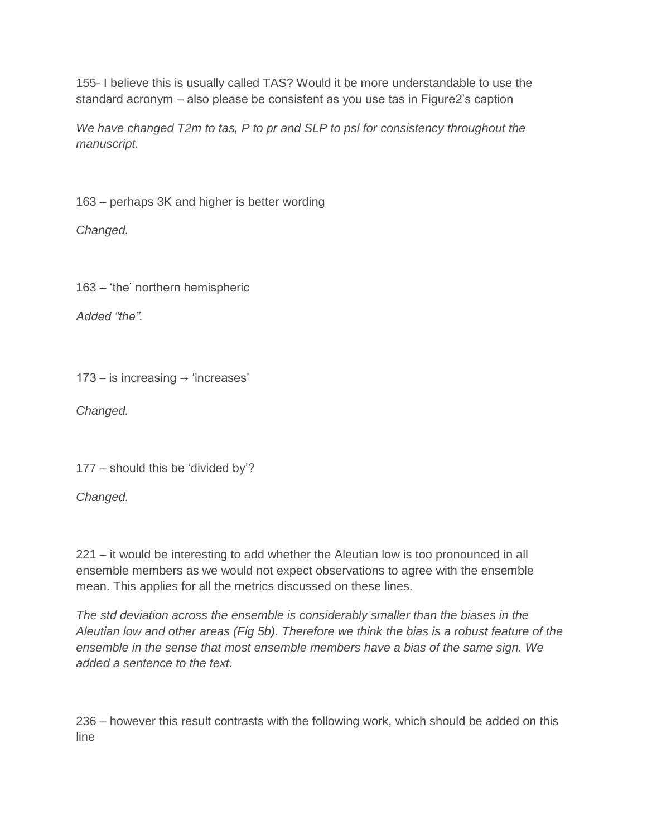155- I believe this is usually called TAS? Would it be more understandable to use the standard acronym – also please be consistent as you use tas in Figure2's caption

*We have changed T2m to tas, P to pr and SLP to psl for consistency throughout the manuscript.*

163 – perhaps 3K and higher is better wording

*Changed.*

163 – 'the' northern hemispheric

*Added "the".*

173 – is increasing  $\rightarrow$  'increases'

*Changed.*

177 – should this be 'divided by'?

*Changed.*

221 – it would be interesting to add whether the Aleutian low is too pronounced in all ensemble members as we would not expect observations to agree with the ensemble mean. This applies for all the metrics discussed on these lines.

*The std deviation across the ensemble is considerably smaller than the biases in the Aleutian low and other areas (Fig 5b). Therefore we think the bias is a robust feature of the ensemble in the sense that most ensemble members have a bias of the same sign. We added a sentence to the text.*

236 – however this result contrasts with the following work, which should be added on this line